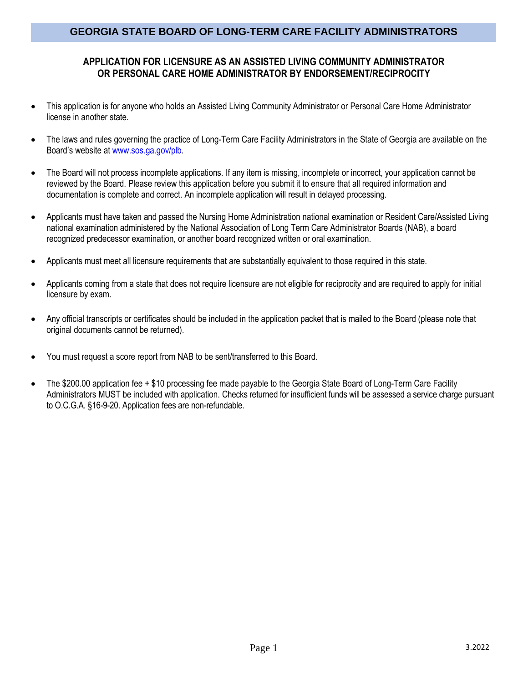### **APPLICATION FOR LICENSURE AS AN ASSISTED LIVING COMMUNITY ADMINISTRATOR OR PERSONAL CARE HOME ADMINISTRATOR BY ENDORSEMENT/RECIPROCITY**

- This application is for anyone who holds an Assisted Living Community Administrator or Personal Care Home Administrator license in another state.
- The laws and rules governing the practice of Long-Term Care Facility Administrators in the State of Georgia are available on the Board's website at [www.sos.ga.gov/plb.](http://www.sos.ga.gov/plb)
- The Board will not process incomplete applications. If any item is missing, incomplete or incorrect, your application cannot be reviewed by the Board. Please review this application before you submit it to ensure that all required information and documentation is complete and correct. An incomplete application will result in delayed processing.
- Applicants must have taken and passed the Nursing Home Administration national examination or Resident Care/Assisted Living national examination administered by the National Association of Long Term Care Administrator Boards (NAB), a board recognized predecessor examination, or another board recognized written or oral examination.
- Applicants must meet all licensure requirements that are substantially equivalent to those required in this state.
- Applicants coming from a state that does not require licensure are not eligible for reciprocity and are required to apply for initial licensure by exam.
- Any official transcripts or certificates should be included in the application packet that is mailed to the Board (please note that original documents cannot be returned).
- You must request a score report from NAB to be sent/transferred to this Board.
- The \$200.00 application fee + \$10 processing fee made payable to the Georgia State Board of Long-Term Care Facility Administrators MUST be included with application. Checks returned for insufficient funds will be assessed a service charge pursuant to O.C.G.A. §16-9-20. Application fees are non-refundable.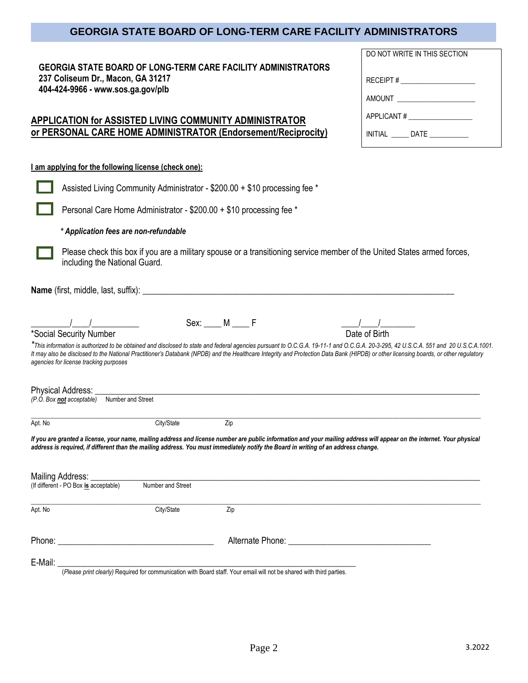DO NOT WRITE IN THIS SECTION

RECEIPT # \_\_\_\_\_\_\_\_\_\_\_\_\_\_\_\_\_\_\_\_\_ AMOUNT \_\_\_\_\_\_\_\_\_\_\_\_\_\_\_\_\_\_\_\_\_\_

APPLICANT #

INITIAL DATE

| <b>GEORGIA STATE BOARD OF LONG-TERM CARE FACILITY ADMINISTRATORS</b> |
|----------------------------------------------------------------------|
| 237 Coliseum Dr., Macon, GA 31217                                    |
| 404-424-9966 - www.sos.ga.gov/plb                                    |

## **APPLICATION for ASSISTED LIVING COMMUNITY ADMINISTRATOR or PERSONAL CARE HOME ADMINISTRATOR (Endorsement/Reciprocity)**

#### **I am applying for the following license (check one):**

|                                                                  | Assisted Living Community Administrator - \$200.00 + \$10 processing fee *                                                                               |                      |                                                                                                                                                                                                                                                                                                                                                                             |  |  |  |  |
|------------------------------------------------------------------|----------------------------------------------------------------------------------------------------------------------------------------------------------|----------------------|-----------------------------------------------------------------------------------------------------------------------------------------------------------------------------------------------------------------------------------------------------------------------------------------------------------------------------------------------------------------------------|--|--|--|--|
|                                                                  | Personal Care Home Administrator - \$200.00 + \$10 processing fee *                                                                                      |                      |                                                                                                                                                                                                                                                                                                                                                                             |  |  |  |  |
|                                                                  | * Application fees are non-refundable                                                                                                                    |                      |                                                                                                                                                                                                                                                                                                                                                                             |  |  |  |  |
|                                                                  | Please check this box if you are a military spouse or a transitioning service member of the United States armed forces,<br>including the National Guard. |                      |                                                                                                                                                                                                                                                                                                                                                                             |  |  |  |  |
|                                                                  |                                                                                                                                                          |                      |                                                                                                                                                                                                                                                                                                                                                                             |  |  |  |  |
| *Social Security Number                                          |                                                                                                                                                          | $Sex: \_\_\_M \_\_F$ | Date of Birth                                                                                                                                                                                                                                                                                                                                                               |  |  |  |  |
| agencies for license tracking purposes                           |                                                                                                                                                          |                      | This information is authorized to be obtained and disclosed to state and federal agencies pursuant to O.C.G.A. 19-11-1 and O.C.G.A. 20-3-295, 42 U.S.C.A. 551 and 20 U.S.C.A. 1001.<br>It may also be disclosed to the National Practitioner's Databank (NPDB) and the Healthcare Integrity and Protection Data Bank (HIPDB) or other licensing boards, or other regulatory |  |  |  |  |
| Physical Address:<br>(P.O. Box not acceptable) Number and Street |                                                                                                                                                          |                      |                                                                                                                                                                                                                                                                                                                                                                             |  |  |  |  |
| Apt. No                                                          | City/State                                                                                                                                               | $\overline{Zip}$     |                                                                                                                                                                                                                                                                                                                                                                             |  |  |  |  |
|                                                                  |                                                                                                                                                          |                      | If you are granted a license, your name, mailing address and license number are public information and your mailing address will appear on the internet. Your physical<br>address is required, if different than the mailing address. You must immediately notify the Board in writing of an address change.                                                                |  |  |  |  |
| Mailing Address: Universe Mailing                                |                                                                                                                                                          |                      |                                                                                                                                                                                                                                                                                                                                                                             |  |  |  |  |
| (If different - PO Box is acceptable)                            | Number and Street                                                                                                                                        |                      |                                                                                                                                                                                                                                                                                                                                                                             |  |  |  |  |
| Apt. No                                                          | City/State                                                                                                                                               | Zip                  |                                                                                                                                                                                                                                                                                                                                                                             |  |  |  |  |
|                                                                  |                                                                                                                                                          |                      |                                                                                                                                                                                                                                                                                                                                                                             |  |  |  |  |
| E-Mail:                                                          |                                                                                                                                                          |                      |                                                                                                                                                                                                                                                                                                                                                                             |  |  |  |  |

(*Please print clearly)* Required for communication with Board staff. Your email will not be shared with third parties.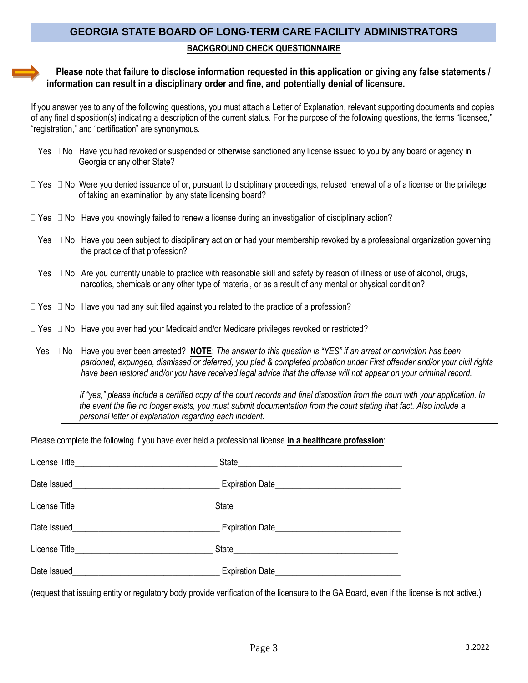# **GEORGIA STATE BOARD OF LONG-TERM CARE FACILITY ADMINISTRATORS BACKGROUND CHECK QUESTIONNAIRE**

#### **Please note that failure to disclose information requested in this application or giving any false statements / information can result in a disciplinary order and fine, and potentially denial of licensure.**

If you answer yes to any of the following questions, you must attach a Letter of Explanation, relevant supporting documents and copies of any final disposition(s) indicating a description of the current status. For the purpose of the following questions, the terms "licensee," "registration," and "certification" are synonymous.

- $\Box$  Yes  $\Box$  No Have you had revoked or suspended or otherwise sanctioned any license issued to you by any board or agency in Georgia or any other State?
- $\Box$  Yes  $\Box$  No Were you denied issuance of or, pursuant to disciplinary proceedings, refused renewal of a of a license or the privilege of taking an examination by any state licensing board?
- $\Box$  Yes  $\Box$  No Have you knowingly failed to renew a license during an investigation of disciplinary action?
- $\Box$  Yes  $\Box$  No Have you been subject to disciplinary action or had your membership revoked by a professional organization governing the practice of that profession?
- $\Box$  Yes  $\Box$  No Are you currently unable to practice with reasonable skill and safety by reason of illness or use of alcohol, drugs, narcotics, chemicals or any other type of material, or as a result of any mental or physical condition?
- $\Box$  Yes  $\Box$  No Have you had any suit filed against you related to the practice of a profession?
- $\Box$  Yes  $\Box$  No Have you ever had your Medicaid and/or Medicare privileges revoked or restricted?
- Yes No Have you ever been arrested? **NOTE**: *The answer to this question is "YES" if an arrest or conviction has been pardoned, expunged, dismissed or deferred, you pled & completed probation under First offender and/or your civil rights have been restored and/or you have received legal advice that the offense will not appear on your criminal record.*

 *If "yes," please include a certified copy of the court records and final disposition from the court with your application. In the event the file no longer exists, you must submit documentation from the court stating that fact. Also include a personal letter of explanation regarding each incident.*

Please complete the following if you have ever held a professional license **in a healthcare profession**:

| License Title <b>Example 2018</b> State <b>State</b> State <b>State</b> State <b>State</b> State <b>State</b> State State State State State State State State State State State State State State State State State State State State State State State |                                                                                                                                                                                                                                                      |
|---------------------------------------------------------------------------------------------------------------------------------------------------------------------------------------------------------------------------------------------------------|------------------------------------------------------------------------------------------------------------------------------------------------------------------------------------------------------------------------------------------------------|
|                                                                                                                                                                                                                                                         |                                                                                                                                                                                                                                                      |
|                                                                                                                                                                                                                                                         |                                                                                                                                                                                                                                                      |
| Date Issued <b>Expiration Date Expiration Date</b>                                                                                                                                                                                                      |                                                                                                                                                                                                                                                      |
|                                                                                                                                                                                                                                                         |                                                                                                                                                                                                                                                      |
|                                                                                                                                                                                                                                                         | Date Issued <b>Expiration</b> Date <b>Expiration</b> Date <b><i>CONSIDERS AND RESIDENT AND RESIDENT AND RESIDENT AND RESIDENT AND RESIDENT AND RESIDENT AND RESIDENT AND RESIDENT AND RESIDENT AND RESIDENT AND RESIDENT AND RESIDENT AND RE</i></b> |

(request that issuing entity or regulatory body provide verification of the licensure to the GA Board, even if the license is not active.)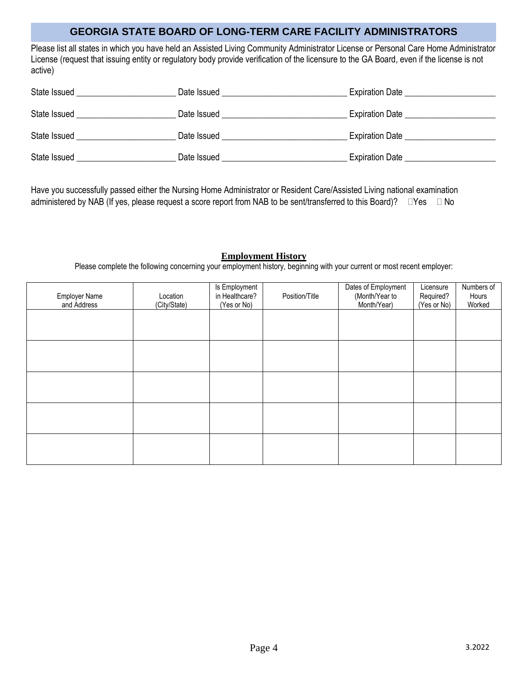Please list all states in which you have held an Assisted Living Community Administrator License or Personal Care Home Administrator License (request that issuing entity or regulatory body provide verification of the licensure to the GA Board, even if the license is not active)

| State Issued | Date Issued | <b>Expiration Date</b> |
|--------------|-------------|------------------------|
| State Issued | Date Issued | <b>Expiration Date</b> |
| State Issued | Date Issued | <b>Expiration Date</b> |
| State Issued | Date Issued | <b>Expiration Date</b> |

Have you successfully passed either the Nursing Home Administrator or Resident Care/Assisted Living national examination administered by NAB (If yes, please request a score report from NAB to be sent/transferred to this Board)?  $\Box$ Yes  $\Box$  No

#### **Employment History**

Please complete the following concerning your employment history, beginning with your current or most recent employer:

| <b>Employer Name</b><br>and Address | Location<br>(City/State) | Is Employment<br>in Healthcare?<br>(Yes or No) | Position/Title | Dates of Employment<br>(Month/Year to<br>Month/Year) | Licensure<br>Required?<br>(Yes or No) | Numbers of<br>Hours<br>Worked |
|-------------------------------------|--------------------------|------------------------------------------------|----------------|------------------------------------------------------|---------------------------------------|-------------------------------|
|                                     |                          |                                                |                |                                                      |                                       |                               |
|                                     |                          |                                                |                |                                                      |                                       |                               |
|                                     |                          |                                                |                |                                                      |                                       |                               |
|                                     |                          |                                                |                |                                                      |                                       |                               |
|                                     |                          |                                                |                |                                                      |                                       |                               |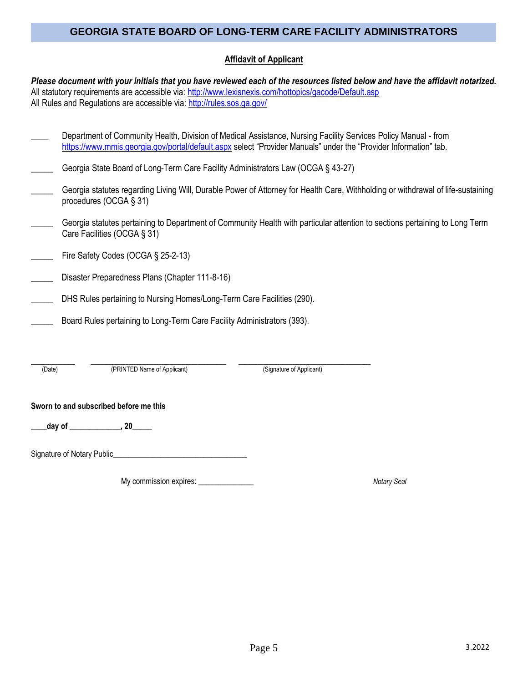#### **Affidavit of Applicant**

*Please document with your initials that you have reviewed each of the resources listed below and have the affidavit notarized.*  All statutory requirements are accessible via: <http://www.lexisnexis.com/hottopics/gacode/Default.asp> All Rules and Regulations are accessible via[: http://rules.sos.ga.gov/](http://rules.sos.ga.gov/)

| Department of Community Health, Division of Medical Assistance, Nursing Facility Services Policy Manual - from   |  |  |  |  |
|------------------------------------------------------------------------------------------------------------------|--|--|--|--|
| https://www.mmis.georgia.gov/portal/default.aspx select "Provider Manuals" under the "Provider Information" tab. |  |  |  |  |

|  | Georgia State Board of Long-Term Care Facility Administrators Law (OCGA § 43-27) |  |  |
|--|----------------------------------------------------------------------------------|--|--|
|  |                                                                                  |  |  |

- Georgia statutes regarding Living Will, Durable Power of Attorney for Health Care, Withholding or withdrawal of life-sustaining procedures (OCGA § 31)
- Georgia statutes pertaining to Department of Community Health with particular attention to sections pertaining to Long Term Care Facilities (OCGA § 31)
- Fire Safety Codes (OCGA § 25-2-13)
- Disaster Preparedness Plans (Chapter 111-8-16)
- DHS Rules pertaining to Nursing Homes/Long-Term Care Facilities (290).
- Board Rules pertaining to Long-Term Care Facility Administrators (393).

| Date) | 'PRIN<br>' Name of Applicant) | Applicant)<br>'Signature of J |  |
|-------|-------------------------------|-------------------------------|--|

(Date) (PRINTED Name of Applicant) (Signature of Applicant)

#### **Sworn to and subscribed before me this**

**\_\_\_\_day of \_\_\_\_\_\_\_\_\_\_\_\_\_, 20\_\_\_\_\_**

Signature of Notary Public\_\_\_\_\_\_\_\_\_\_\_\_\_\_\_\_\_\_\_\_\_\_\_\_\_\_\_\_\_\_\_\_\_\_

My commission expires: \_\_\_\_\_\_\_\_\_\_\_\_\_\_ *Notary Seal*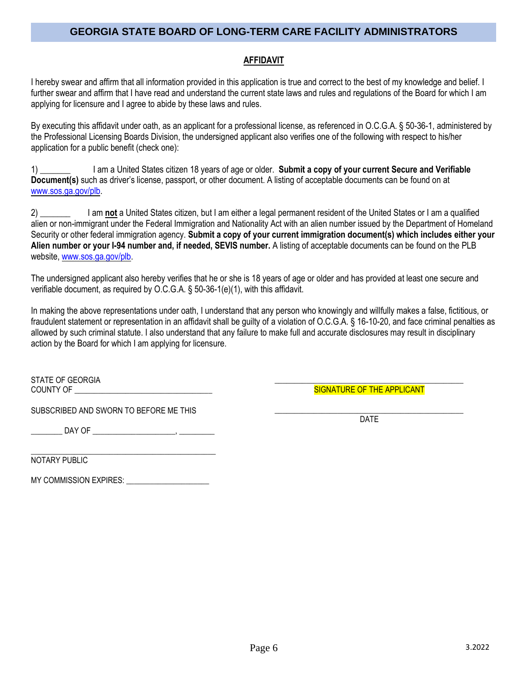### **AFFIDAVIT**

I hereby swear and affirm that all information provided in this application is true and correct to the best of my knowledge and belief. I further swear and affirm that I have read and understand the current state laws and rules and regulations of the Board for which I am applying for licensure and I agree to abide by these laws and rules.

By executing this affidavit under oath, as an applicant for a professional license, as referenced in O.C.G.A. § 50-36-1, administered by the Professional Licensing Boards Division, the undersigned applicant also verifies one of the following with respect to his/her application for a public benefit (check one):

1) \_\_\_\_\_\_\_ I am a United States citizen 18 years of age or older. **Submit a copy of your current Secure and Verifiable Document(s)** such as driver's license, passport, or other document. A listing of acceptable documents can be found on at [www.sos.ga.gov/plb.](http://www.sos.ga.gov/plb)

2) \_\_\_\_\_\_\_ I am **not** a United States citizen, but I am either a legal permanent resident of the United States or I am a qualified alien or non-immigrant under the Federal Immigration and Nationality Act with an alien number issued by the Department of Homeland Security or other federal immigration agency. **Submit a copy of your current immigration document(s) which includes either your Alien number or your I-94 number and, if needed, SEVIS number.** A listing of acceptable documents can be found on the PLB website[, www.sos.ga.gov/plb.](http://www.sos.ga.gov/plb)

The undersigned applicant also hereby verifies that he or she is 18 years of age or older and has provided at least one secure and verifiable document, as required by O.C.G.A. § 50-36-1(e)(1), with this affidavit.

In making the above representations under oath, I understand that any person who knowingly and willfully makes a false, fictitious, or fraudulent statement or representation in an affidavit shall be guilty of a violation of O.C.G.A. § 16-10-20, and face criminal penalties as allowed by such criminal statute. I also understand that any failure to make full and accurate disclosures may result in disciplinary action by the Board for which I am applying for licensure.

STATE OF GEORGIA COUNTY OF \_\_\_\_\_\_\_\_\_\_\_\_\_\_\_\_\_\_\_\_\_\_\_\_\_\_\_\_\_\_\_\_\_\_\_

SUBSCRIBED AND SWORN TO BEFORE ME THIS

\_\_\_\_\_\_\_\_ DAY OF \_\_\_\_\_\_\_\_\_\_\_\_\_\_\_\_\_\_\_\_\_, \_\_\_\_\_\_\_\_\_

\_\_\_\_\_\_\_\_\_\_\_\_\_\_\_\_\_\_\_\_\_\_\_\_\_\_\_\_\_\_\_\_\_\_\_\_\_\_\_\_\_\_\_\_\_\_\_ NOTARY PUBLIC

MY COMMISSION EXPIRES: \_\_\_\_\_\_\_\_\_\_\_\_\_\_\_\_\_\_\_\_\_

\_\_\_\_\_\_\_\_\_\_\_\_\_\_\_\_\_\_\_\_\_\_\_\_\_\_\_\_\_\_\_\_\_\_\_\_\_\_\_\_\_\_\_\_\_\_\_\_ SIGNATURE OF THE APPLICANT

\_\_\_\_\_\_\_\_\_\_\_\_\_\_\_\_\_\_\_\_\_\_\_\_\_\_\_\_\_\_\_\_\_\_\_\_\_\_\_\_\_\_\_\_\_\_\_\_ DATE